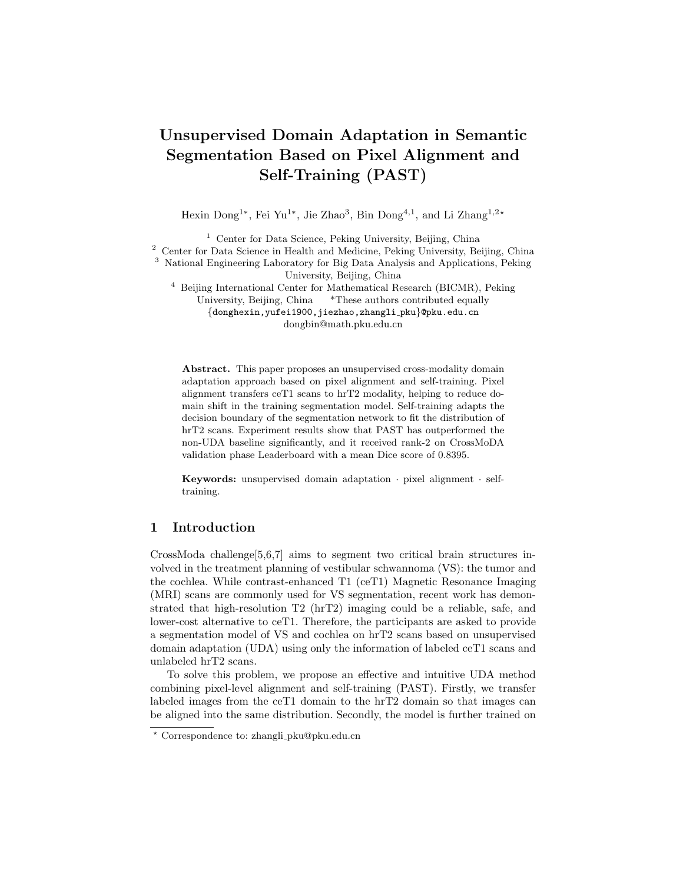# Unsupervised Domain Adaptation in Semantic Segmentation Based on Pixel Alignment and Self-Training (PAST)

Hexin Dong<sup>1\*</sup>, Fei Yu<sup>1\*</sup>, Jie Zhao<sup>3</sup>, Bin Dong<sup>4,1</sup>, and Li Zhang<sup>1,2</sup>\*

<sup>1</sup> Center for Data Science, Peking University, Beijing, China <sup>2</sup> Center for Data Science in Health and Medicine, Peking University, Beijing, China <sup>3</sup> National Engineering Laboratory for Big Data Analysis and Applications, Peking University, Beijing, China <sup>4</sup> Beijing International Center for Mathematical Research (BICMR), Peking

University, Beijing, China \*These authors contributed equally {donghexin,yufei1900,jiezhao,zhangli pku}@pku.edu.cn dongbin@math.pku.edu.cn

Abstract. This paper proposes an unsupervised cross-modality domain adaptation approach based on pixel alignment and self-training. Pixel alignment transfers ceT1 scans to hrT2 modality, helping to reduce domain shift in the training segmentation model. Self-training adapts the decision boundary of the segmentation network to fit the distribution of hrT2 scans. Experiment results show that PAST has outperformed the non-UDA baseline significantly, and it received rank-2 on CrossMoDA validation phase Leaderboard with a mean Dice score of 0.8395.

Keywords: unsupervised domain adaptation · pixel alignment · selftraining.

# 1 Introduction

CrossModa challenge[\[5,](#page-4-0)[6,](#page-4-1)[7\]](#page-4-2) aims to segment two critical brain structures involved in the treatment planning of vestibular schwannoma (VS): the tumor and the cochlea. While contrast-enhanced T1 (ceT1) Magnetic Resonance Imaging (MRI) scans are commonly used for VS segmentation, recent work has demonstrated that high-resolution T2 (hrT2) imaging could be a reliable, safe, and lower-cost alternative to ceT1. Therefore, the participants are asked to provide a segmentation model of VS and cochlea on hrT2 scans based on unsupervised domain adaptation (UDA) using only the information of labeled ceT1 scans and unlabeled hrT2 scans.

To solve this problem, we propose an effective and intuitive UDA method combining pixel-level alignment and self-training (PAST). Firstly, we transfer labeled images from the ceT1 domain to the hrT2 domain so that images can be aligned into the same distribution. Secondly, the model is further trained on

<sup>?</sup> Correspondence to: zhangli pku@pku.edu.cn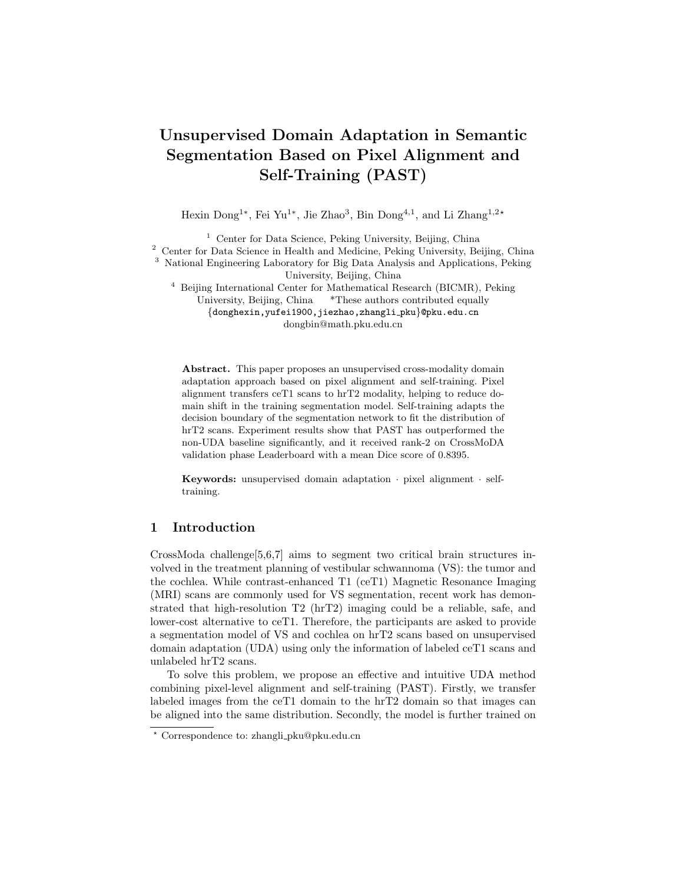2 Dong et al.

pseudo labels generated from transferred ceT1 scans and hrT2 scans, which find a better decision boundary on the hrT2 domain. The experimental results show that our method greatly reduces the domain shift and achieves 2nd place with a dice score of 0.8395 on the validation set.

# 2 Methods and Experimental Methods

## 2.1 Method Overview

We introduce our method in this section. Our method has two major parts: pixel-level alignment and the self-training stage.

First, we follow [\[2\]](#page-4-3) to learn a mapping from the source domain to the target domain, i.e., we transfer ceT1 scans to hrT2 scans. After doing so, we can use synthesized hrT2 scans to train a segmentation model using supervised learning. As shown in [Figure 1,](#page-1-0) the model achieves the domain adaptation using NiceGAN [\[1\]](#page-4-4) (i.e., an extension method of CycleGAN), which reuses discriminators for encoding to improve the efficiency and effectiveness of training.



<span id="page-1-0"></span>Fig. 1. flowchart of NiceGAN[\[1\]](#page-4-4). It extracts feature from the input image with the shared Encoder. The Classifer from the Discriminator distingguishes real or fake feature vectors. The Decoder from the Generator generates transferred images.

Second, we apply self-training to further improve the decision boundary of the segmentation model. Similar to [\[4\]](#page-4-5), we introduce a super parameter  $q$  of the pixel portion. We iteratively generate the pseudo label  $\hat{y}_c$  using the top q of pixels in segmentation output  $y_c$  with a higher probability to retrain the model. Overall training process of the proposed method is summarized in Algorithm [1.](#page-2-0)

All models are implemented using the PyTorch 1.9. Pixel-level alignment model runs on a single V100 GPU with 16 GB memory and self-training model runs on a single TIAN V GPU with 12 GB memory. All training data used are collected from CrossModa training set [\[7,](#page-4-2)[5\]](#page-4-0) and we verify our model on crossModa validation set.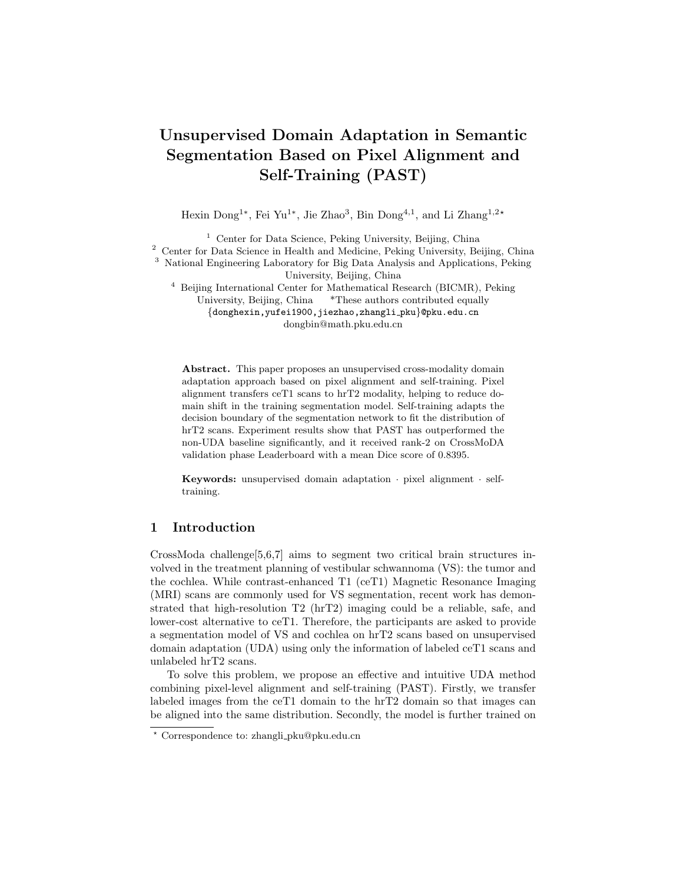#### Algorithm 1 training process of the proposed method

- <span id="page-2-0"></span>1: Initialize ceT1 scans images and label  $(X_s, Y_s)$ , hrT2 scans images  $X_t$ , Segmentation network S, Image translation network T
- 2: Train network  $\overline{I}$  with  $X_s$  and  $X_t$
- 3: Transfer ceT1 scans  $X_s$  to  $X_s$  using T
- 4: Train network S with  $(\hat{X}_s, \hat{Y}_s)$
- 5: Initialize concat scans images  $X_c = {\{\hat{X}_s : X_t\}}$ , self-training segmentation network  $S_0 = S$
- 6: for  $k \leftarrow 1$  to K do
- 7: input  $X_c$  into  $S_{k-1}$  and generate pseudo label  $\hat{y_c^k}$  with a fixed portion  $q_k$
- 8: Initialize  $S_k \leftarrow S_{k-1}$
- 9: Train  $S_k$  with  $(X_c, \hat{y}_c^k)$

10: end for

11: return  $S_k$ 

#### 2.2 Experiments

For the preprocessing step, we observe that the segmentation targets are located in the center of the image, so we take the center area of the image as the region of interest (ROI) (Figure [2\)](#page-3-0). For the image translation, the 2D images with a range of  $[0: W:0: H]$  are cropped into the 2D ROI with a range of  $[\frac{W}{4}:\frac{3W}{4}, \frac{H}{4}:\frac{3H}{4}].$ For the 3D segmentation, the volumetric data  $([0 : W: 0 : H: 0 : D])$  will be cropped into the 3D ROI with a range of  $\left[\frac{W}{4}:\frac{3\tilde{W}}{4}:\frac{3H}{8}:\frac{3H}{4}\right]$ ; 0 : D. After then, the intensity values in ROI are normalized by rescaling to  $[0 - 255]$ 

In the pixel alignment stage, we adopt NICE-GAN [\[1\]](#page-4-4) on 2D transverse slides of the ROIs, transferring ceT1 to hrT2. We then concatenate the synthesized 2D hrT2 slides to a 3D volumetric image. For 3D segmentation, we follow the nnUNet framework [\[3\]](#page-4-6). Several research settings are implemented. First, we train the models with paired synthesized hrT2 scans and labels. Since most data have a dimension of 448 pixels, we thus call this model nnUnet448. However, we notice that there're two types of protocols in hrT2 with significantly different appearances (one with a dimension of 448 pixels, called 448 scans, and another with a dimension of 384 pixels, called 384 scans). We thus create a **nnUnet384** model for those 384 scans. We evaluate the results of the two models on all data and the results of their respective applicable data. We call the model in the latter scenario as nnUnetCon.

The self-training stage generally follows the Algorithm [1.](#page-2-0) The nnUnets (nnUnet448, nnUnet384 and nnUnetCon) are used as pretrain models for self-training, i.e.  $S_0$  in Algorithm [1.](#page-2-0) The synthesized images and pseudo labels are derived from the corresponding image-to-image translation models and nnUnets respectively. In practice, we set the initial  $q$  to 0.6, the maximum iteration  $K$  of self-training to 2, and the initial learning rate is set to 0:08. We name this model as nnUetST2.

Apart from this, we train a ResUnet (i.e., an extended version for nnUnet with ResNet encoder) following the above stages and name this model as  $\mathsf{Re}\text{-}$ sUnetST2. A combined version using nnUetST2 to segment cochlea and Re-